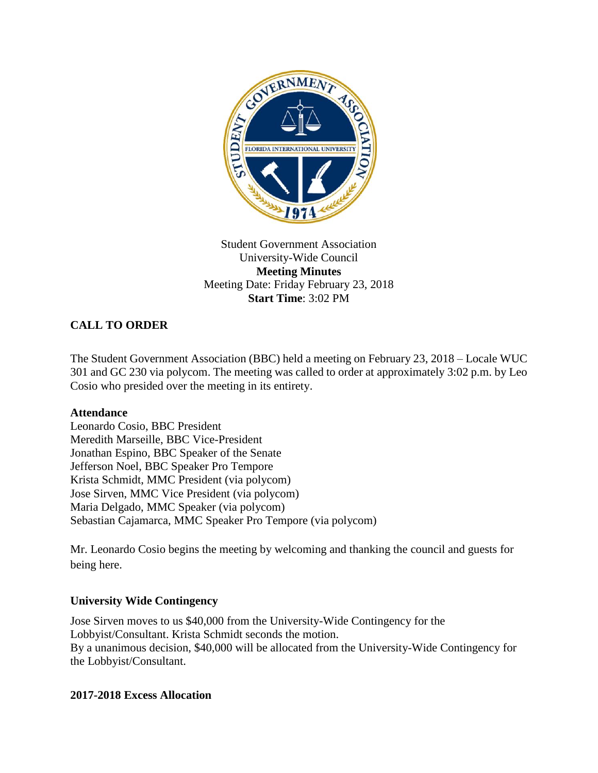

### Student Government Association University-Wide Council **Meeting Minutes** Meeting Date: Friday February 23, 2018 **Start Time**: 3:02 PM

# **CALL TO ORDER**

The Student Government Association (BBC) held a meeting on February 23, 2018 – Locale WUC 301 and GC 230 via polycom. The meeting was called to order at approximately 3:02 p.m. by Leo Cosio who presided over the meeting in its entirety.

#### **Attendance**

Leonardo Cosio, BBC President Meredith Marseille, BBC Vice-President Jonathan Espino, BBC Speaker of the Senate Jefferson Noel, BBC Speaker Pro Tempore Krista Schmidt, MMC President (via polycom) Jose Sirven, MMC Vice President (via polycom) Maria Delgado, MMC Speaker (via polycom) Sebastian Cajamarca, MMC Speaker Pro Tempore (via polycom)

Mr. Leonardo Cosio begins the meeting by welcoming and thanking the council and guests for being here.

#### **University Wide Contingency**

Jose Sirven moves to us \$40,000 from the University-Wide Contingency for the Lobbyist/Consultant. Krista Schmidt seconds the motion. By a unanimous decision, \$40,000 will be allocated from the University-Wide Contingency for the Lobbyist/Consultant.

#### **2017-2018 Excess Allocation**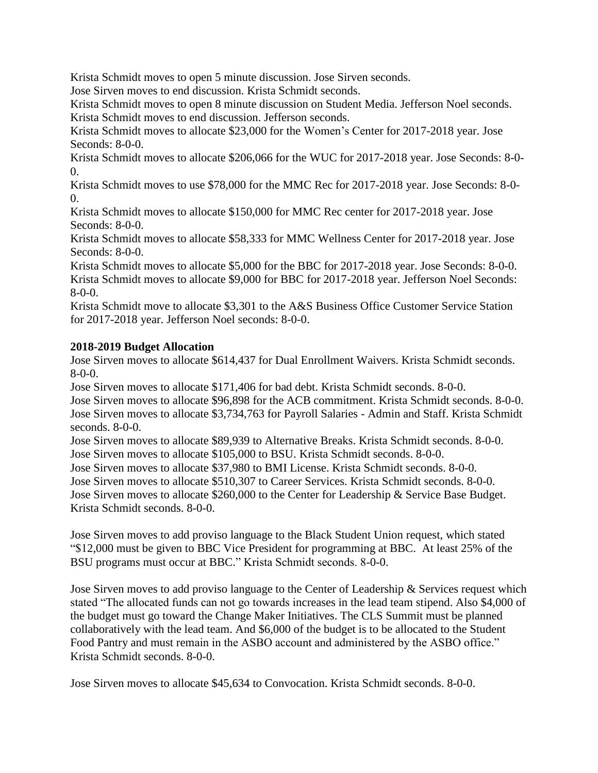Krista Schmidt moves to open 5 minute discussion. Jose Sirven seconds.

Jose Sirven moves to end discussion. Krista Schmidt seconds.

Krista Schmidt moves to open 8 minute discussion on Student Media. Jefferson Noel seconds. Krista Schmidt moves to end discussion. Jefferson seconds.

Krista Schmidt moves to allocate \$23,000 for the Women's Center for 2017-2018 year. Jose Seconds: 8-0-0.

Krista Schmidt moves to allocate \$206,066 for the WUC for 2017-2018 year. Jose Seconds: 8-0-  $\Omega$ .

Krista Schmidt moves to use \$78,000 for the MMC Rec for 2017-2018 year. Jose Seconds: 8-0-  $\Omega$ .

Krista Schmidt moves to allocate \$150,000 for MMC Rec center for 2017-2018 year. Jose Seconds: 8-0-0.

Krista Schmidt moves to allocate \$58,333 for MMC Wellness Center for 2017-2018 year. Jose Seconds: 8-0-0.

Krista Schmidt moves to allocate \$5,000 for the BBC for 2017-2018 year. Jose Seconds: 8-0-0. Krista Schmidt moves to allocate \$9,000 for BBC for 2017-2018 year. Jefferson Noel Seconds: 8-0-0.

Krista Schmidt move to allocate \$3,301 to the A&S Business Office Customer Service Station for 2017-2018 year. Jefferson Noel seconds: 8-0-0.

## **2018-2019 Budget Allocation**

Jose Sirven moves to allocate \$614,437 for Dual Enrollment Waivers. Krista Schmidt seconds. 8-0-0.

Jose Sirven moves to allocate \$171,406 for bad debt. Krista Schmidt seconds. 8-0-0.

Jose Sirven moves to allocate \$96,898 for the ACB commitment. Krista Schmidt seconds. 8-0-0. Jose Sirven moves to allocate \$3,734,763 for Payroll Salaries - Admin and Staff. Krista Schmidt seconds. 8-0-0.

Jose Sirven moves to allocate \$89,939 to Alternative Breaks. Krista Schmidt seconds. 8-0-0. Jose Sirven moves to allocate \$105,000 to BSU. Krista Schmidt seconds. 8-0-0.

Jose Sirven moves to allocate \$37,980 to BMI License. Krista Schmidt seconds. 8-0-0.

Jose Sirven moves to allocate \$510,307 to Career Services. Krista Schmidt seconds. 8-0-0.

Jose Sirven moves to allocate \$260,000 to the Center for Leadership & Service Base Budget. Krista Schmidt seconds. 8-0-0.

Jose Sirven moves to add proviso language to the Black Student Union request, which stated "\$12,000 must be given to BBC Vice President for programming at BBC. At least 25% of the BSU programs must occur at BBC." Krista Schmidt seconds. 8-0-0.

Jose Sirven moves to add proviso language to the Center of Leadership & Services request which stated "The allocated funds can not go towards increases in the lead team stipend. Also \$4,000 of the budget must go toward the Change Maker Initiatives. The CLS Summit must be planned collaboratively with the lead team. And \$6,000 of the budget is to be allocated to the Student Food Pantry and must remain in the ASBO account and administered by the ASBO office." Krista Schmidt seconds. 8-0-0.

Jose Sirven moves to allocate \$45,634 to Convocation. Krista Schmidt seconds. 8-0-0.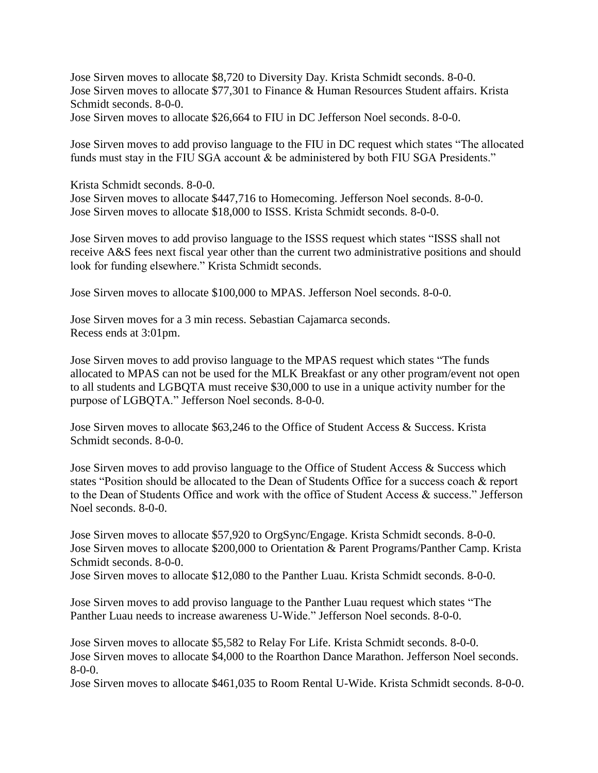Jose Sirven moves to allocate \$8,720 to Diversity Day. Krista Schmidt seconds. 8-0-0. Jose Sirven moves to allocate \$77,301 to Finance & Human Resources Student affairs. Krista Schmidt seconds. 8-0-0.

Jose Sirven moves to allocate \$26,664 to FIU in DC Jefferson Noel seconds. 8-0-0.

Jose Sirven moves to add proviso language to the FIU in DC request which states "The allocated funds must stay in the FIU SGA account & be administered by both FIU SGA Presidents."

Krista Schmidt seconds. 8-0-0. Jose Sirven moves to allocate \$447,716 to Homecoming. Jefferson Noel seconds. 8-0-0. Jose Sirven moves to allocate \$18,000 to ISSS. Krista Schmidt seconds. 8-0-0.

Jose Sirven moves to add proviso language to the ISSS request which states "ISSS shall not receive A&S fees next fiscal year other than the current two administrative positions and should look for funding elsewhere." Krista Schmidt seconds.

Jose Sirven moves to allocate \$100,000 to MPAS. Jefferson Noel seconds. 8-0-0.

Jose Sirven moves for a 3 min recess. Sebastian Cajamarca seconds. Recess ends at 3:01pm.

Jose Sirven moves to add proviso language to the MPAS request which states "The funds allocated to MPAS can not be used for the MLK Breakfast or any other program/event not open to all students and LGBQTA must receive \$30,000 to use in a unique activity number for the purpose of LGBQTA." Jefferson Noel seconds. 8-0-0.

Jose Sirven moves to allocate \$63,246 to the Office of Student Access & Success. Krista Schmidt seconds. 8-0-0.

Jose Sirven moves to add proviso language to the Office of Student Access & Success which states "Position should be allocated to the Dean of Students Office for a success coach & report to the Dean of Students Office and work with the office of Student Access & success." Jefferson Noel seconds. 8-0-0.

Jose Sirven moves to allocate \$57,920 to OrgSync/Engage. Krista Schmidt seconds. 8-0-0. Jose Sirven moves to allocate \$200,000 to Orientation & Parent Programs/Panther Camp. Krista Schmidt seconds. 8-0-0.

Jose Sirven moves to allocate \$12,080 to the Panther Luau. Krista Schmidt seconds. 8-0-0.

Jose Sirven moves to add proviso language to the Panther Luau request which states "The Panther Luau needs to increase awareness U-Wide." Jefferson Noel seconds. 8-0-0.

Jose Sirven moves to allocate \$5,582 to Relay For Life. Krista Schmidt seconds. 8-0-0. Jose Sirven moves to allocate \$4,000 to the Roarthon Dance Marathon. Jefferson Noel seconds. 8-0-0.

Jose Sirven moves to allocate \$461,035 to Room Rental U-Wide. Krista Schmidt seconds. 8-0-0.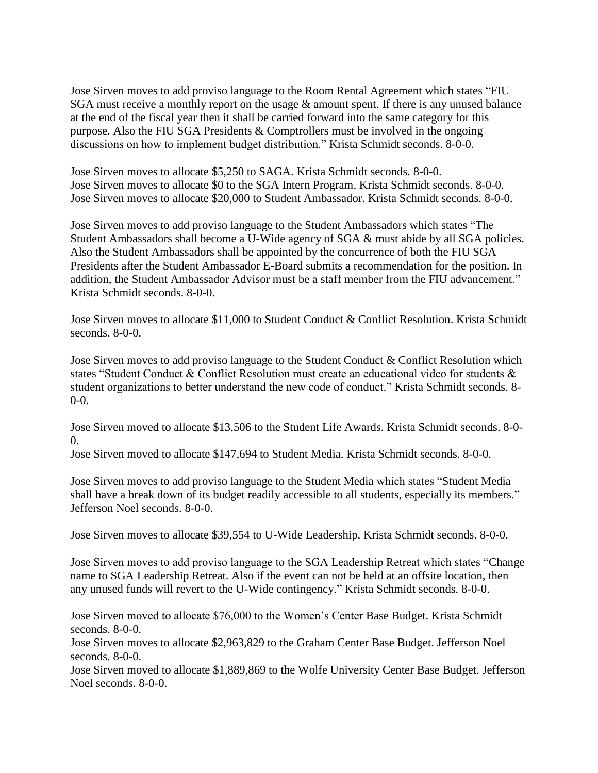Jose Sirven moves to add proviso language to the Room Rental Agreement which states "FIU SGA must receive a monthly report on the usage  $\&$  amount spent. If there is any unused balance at the end of the fiscal year then it shall be carried forward into the same category for this purpose. Also the FIU SGA Presidents & Comptrollers must be involved in the ongoing discussions on how to implement budget distribution." Krista Schmidt seconds. 8-0-0.

Jose Sirven moves to allocate \$5,250 to SAGA. Krista Schmidt seconds. 8-0-0. Jose Sirven moves to allocate \$0 to the SGA Intern Program. Krista Schmidt seconds. 8-0-0. Jose Sirven moves to allocate \$20,000 to Student Ambassador. Krista Schmidt seconds. 8-0-0.

Jose Sirven moves to add proviso language to the Student Ambassadors which states "The Student Ambassadors shall become a U-Wide agency of SGA & must abide by all SGA policies. Also the Student Ambassadors shall be appointed by the concurrence of both the FIU SGA Presidents after the Student Ambassador E-Board submits a recommendation for the position. In addition, the Student Ambassador Advisor must be a staff member from the FIU advancement." Krista Schmidt seconds. 8-0-0.

Jose Sirven moves to allocate \$11,000 to Student Conduct & Conflict Resolution. Krista Schmidt seconds. 8-0-0.

Jose Sirven moves to add proviso language to the Student Conduct & Conflict Resolution which states "Student Conduct & Conflict Resolution must create an educational video for students & student organizations to better understand the new code of conduct." Krista Schmidt seconds. 8- 0-0.

Jose Sirven moved to allocate \$13,506 to the Student Life Awards. Krista Schmidt seconds. 8-0-  $\Omega$ .

Jose Sirven moved to allocate \$147,694 to Student Media. Krista Schmidt seconds. 8-0-0.

Jose Sirven moves to add proviso language to the Student Media which states "Student Media shall have a break down of its budget readily accessible to all students, especially its members." Jefferson Noel seconds. 8-0-0.

Jose Sirven moves to allocate \$39,554 to U-Wide Leadership. Krista Schmidt seconds. 8-0-0.

Jose Sirven moves to add proviso language to the SGA Leadership Retreat which states "Change name to SGA Leadership Retreat. Also if the event can not be held at an offsite location, then any unused funds will revert to the U-Wide contingency." Krista Schmidt seconds. 8-0-0.

Jose Sirven moved to allocate \$76,000 to the Women's Center Base Budget. Krista Schmidt seconds. 8-0-0.

Jose Sirven moves to allocate \$2,963,829 to the Graham Center Base Budget. Jefferson Noel seconds. 8-0-0.

Jose Sirven moved to allocate \$1,889,869 to the Wolfe University Center Base Budget. Jefferson Noel seconds. 8-0-0.